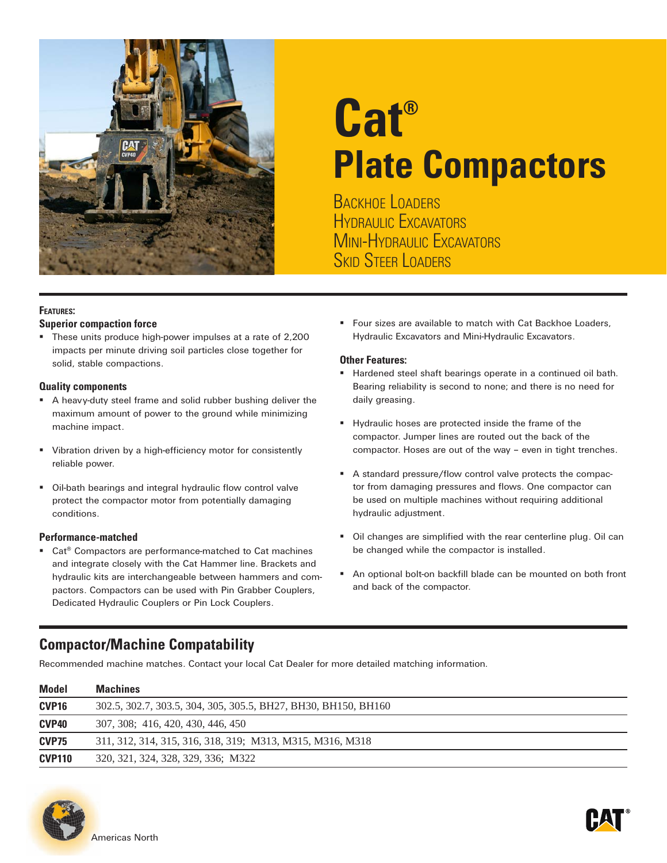

# **Cat® Plate Compactors**

BACKHOE LOADERS HYDRAULIC EXCAVATORS Mini-Hydraulic Excavators **SKID STEER LOADERS** 

#### **Features:**

#### **Superior compaction force**

 These units produce high-power impulses at a rate of 2,200 impacts per minute driving soil particles close together for solid, stable compactions.

#### **Quality components**

- A heavy-duty steel frame and solid rubber bushing deliver the maximum amount of power to the ground while minimizing machine impact.
- **Vibration driven by a high-efficiency motor for consistently** reliable power.
- Oil-bath bearings and integral hydraulic flow control valve protect the compactor motor from potentially damaging conditions.

#### **Performance-matched**

■ Cat<sup>®</sup> Compactors are performance-matched to Cat machines and integrate closely with the Cat Hammer line. Brackets and hydraulic kits are interchangeable between hammers and compactors. Compactors can be used with Pin Grabber Couplers, Dedicated Hydraulic Couplers or Pin Lock Couplers.

**Four sizes are available to match with Cat Backhoe Loaders,** Hydraulic Excavators and Mini-Hydraulic Excavators.

#### **Other Features:**

- Hardened steel shaft bearings operate in a continued oil bath. Bearing reliability is second to none; and there is no need for daily greasing.
- Hydraulic hoses are protected inside the frame of the compactor. Jumper lines are routed out the back of the compactor. Hoses are out of the way – even in tight trenches.
- A standard pressure/flow control valve protects the compactor from damaging pressures and flows. One compactor can be used on multiple machines without requiring additional hydraulic adjustment.
- Oil changes are simplified with the rear centerline plug. Oil can be changed while the compactor is installed.
- An optional bolt-on backfill blade can be mounted on both front and back of the compactor.

### **Compactor/Machine Compatability**

Recommended machine matches. Contact your local Cat Dealer for more detailed matching information.

| <b>Model</b>      | <b>Machines</b>                                                |  |  |  |  |  |  |  |
|-------------------|----------------------------------------------------------------|--|--|--|--|--|--|--|
| CVP <sub>16</sub> | 302.5, 302.7, 303.5, 304, 305, 305.5, BH27, BH30, BH150, BH160 |  |  |  |  |  |  |  |
| CVP <sub>40</sub> | 307, 308; 416, 420, 430, 446, 450                              |  |  |  |  |  |  |  |
| CVP75             | 311, 312, 314, 315, 316, 318, 319; M313, M315, M316, M318      |  |  |  |  |  |  |  |
| <b>CVP110</b>     | 320, 321, 324, 328, 329, 336; M322                             |  |  |  |  |  |  |  |